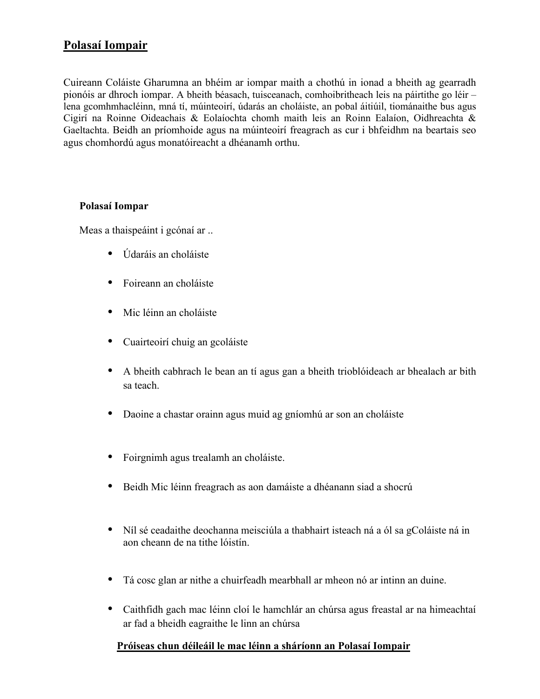## **Polasaí Iompair**

Cuireann Coláiste Gharumna an bhéim ar iompar maith a chothú in ionad a bheith ag gearradh pionóis ar dhroch iompar. A bheith béasach, tuisceanach, comhoibritheach leis na páirtithe go léir – lena gcomhmhacléinn, mná tí, múinteoirí, údarás an choláiste, an pobal áitiúil, tiománaithe bus agus Cigirí na Roinne Oideachais & Eolaíochta chomh maith leis an Roinn Ealaíon, Oidhreachta & Gaeltachta. Beidh an príomhoide agus na múinteoirí freagrach as cur i bhfeidhm na beartais seo agus chomhordú agus monatóireacht a dhéanamh orthu.

## **Polasaí Iompar**

Meas a thaispeáint i gcónaí ar ..

- Údaráis an choláiste
- Foireann an choláiste
- Mic léinn an choláiste
- Cuairteoirí chuig an gcoláiste
- A bheith cabhrach le bean an tí agus gan a bheith trioblóideach ar bhealach ar bith sa teach.
- Daoine a chastar orainn agus muid ag gníomhú ar son an choláiste
- Foirgnimh agus trealamh an choláiste.
- Beidh Mic léinn freagrach as aon damáiste a dhéanann siad a shocrú
- Níl sé ceadaithe deochanna meisciúla a thabhairt isteach ná a ól sa gColáiste ná in aon cheann de na tithe lóistín.
- Tá cosc glan ar nithe a chuirfeadh mearbhall ar mheon nó ar intinn an duine.
- Caithfidh gach mac léinn cloí le hamchlár an chúrsa agus freastal ar na himeachtaí ar fad a bheidh eagraithe le linn an chúrsa

## **Próiseas chun déileáil le mac léinn a sháríonn an Polasaí Iompair**